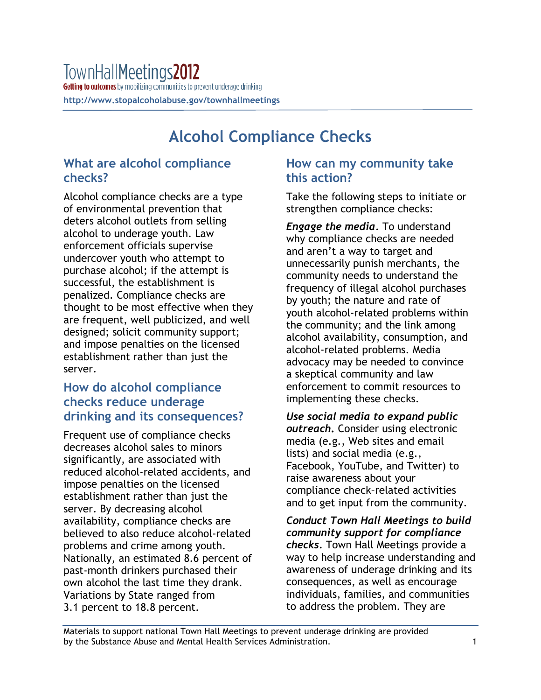# **Alcohol Compliance Checks**

## **What are alcohol compliance checks?**

Alcohol compliance checks are a type of environmental prevention that deters alcohol outlets from selling alcohol to underage youth. Law enforcement officials supervise undercover youth who attempt to purchase alcohol; if the attempt is successful, the establishment is penalized. Compliance checks are thought to be most effective when they are frequent, well publicized, and well designed; solicit community support; and impose penalties on the licensed establishment rather than just the server.

### **How do alcohol compliance checks reduce underage drinking and its consequences?**

Frequent use of compliance checks decreases alcohol sales to minors significantly, are associated with reduced alcohol-related accidents, and impose penalties on the licensed establishment rather than just the server. By decreasing alcohol availability, compliance checks are believed to also reduce alcohol-related problems and crime among youth. Nationally, an estimated 8.6 percent of past-month drinkers purchased their own alcohol the last time they drank. Variations by State ranged from 3.1 percent to 18.8 percent.

### **How can my community take this action?**

Take the following steps to initiate or strengthen compliance checks:

*Engage the media.* To understand why compliance checks are needed and aren't a way to target and unnecessarily punish merchants, the community needs to understand the frequency of illegal alcohol purchases by youth; the nature and rate of youth alcohol-related problems within the community; and the link among alcohol availability, consumption, and alcohol-related problems. Media advocacy may be needed to convince a skeptical community and law enforcement to commit resources to implementing these checks.

*Use social media to expand public outreach***.** Consider using electronic media (e.g., Web sites and email lists) and social media (e.g., Facebook, YouTube, and Twitter) to raise awareness about your compliance check–related activities and to get input from the community.

*Conduct Town Hall Meetings to build community support for compliance checks.* Town Hall Meetings provide a way to help increase understanding and awareness of underage drinking and its consequences, as well as encourage individuals, families, and communities to address the problem. They are

Materials to support national Town Hall Meetings to prevent underage drinking are provided by the Substance Abuse and Mental Health Services Administration. 1 1